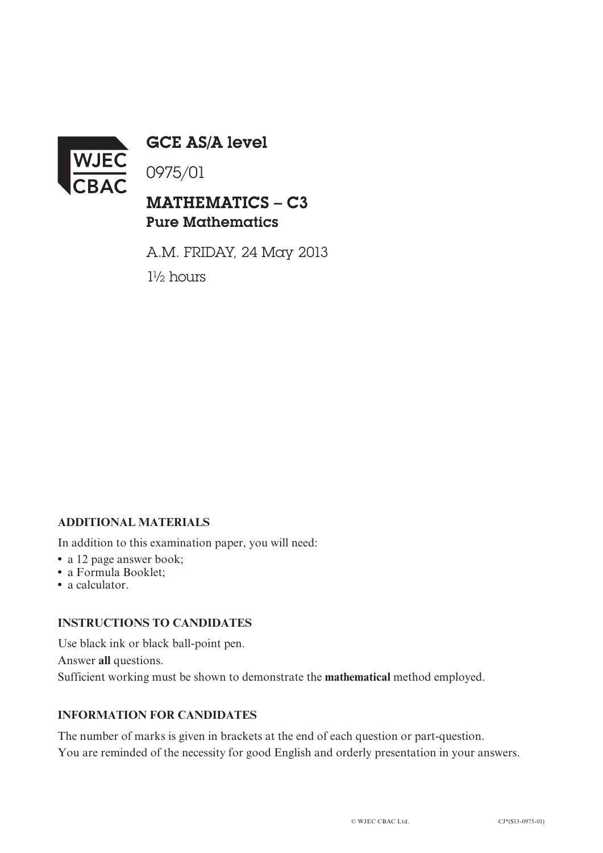

GCE AS/A level

0975/01

# MATHEMATICS – C3 Pure Mathematics

A.M. FRIDAY, 24 May 2013 1½ hours

## **ADDITIONAL MATERIALS**

In addition to this examination paper, you will need:

- a 12 page answer book;
- **•** a Formula Booklet;
- **•** a calculator.

#### **INSTRUCTIONS TO CANDIDATES**

Use black ink or black ball-point pen. Answer **all** questions. Sufficient working must be shown to demonstrate the **mathematical** method employed.

### **INFORMATION FOR CANDIDATES**

The number of marks is given in brackets at the end of each question or part-question. You are reminded of the necessity for good English and orderly presentation in your answers.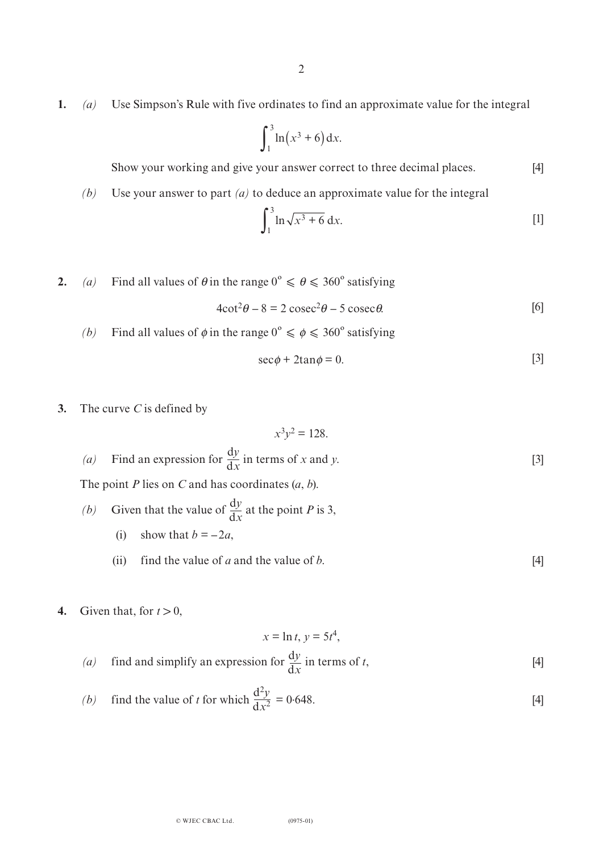**1.** *(a)* Use Simpson's Rule with five ordinates to find an approximate value for the integral

$$
\int_1^3 \ln(x^3+6)\,\mathrm{d}x.
$$

Show your working and give your answer correct to three decimal places. [4]

*(b)* Use your answer to part *(a)* to deduce an approximate value for the integral

$$
\int_{1}^{3} \ln \sqrt{x^3 + 6} \, dx.
$$
 [1]

**2.** *(a)* Find all values of  $\theta$  in the range  $0^{\circ} \le \theta \le 360^{\circ}$  satisfying

$$
4\cot^2\theta - 8 = 2\csc^2\theta - 5\csc\theta.
$$
 [6]

*(b)* Find all values of  $\phi$  in the range  $0^{\circ} \le \phi \le 360^{\circ}$  satisfying

$$
\sec \phi + 2 \tan \phi = 0. \tag{3}
$$

**3.** The curve *C* is defined by

$$
x^3y^2 = 128.
$$
  
(a) Find an expression for  $\frac{dy}{dx}$  in terms of x and y. [3]

The point *P* lies on *C* and has coordinates (*a*, *b*).

- *(b)* Given that the value of  $\frac{dy}{dx}$  at the point *P* is 3, (i) show that  $b = -2a$ ,  $dx$ 
	- (ii) find the value of *a* and the value of *b*.  $[4]$
- **4.** Given that, for  $t > 0$ ,

$$
x = \ln t, y = 5t^4,
$$

(a) find and simplify an expression for 
$$
\frac{dy}{dx}
$$
 in terms of t, [4]

(b) find the value of t for which 
$$
\frac{d^2y}{dx^2} = 0.648.
$$
 [4]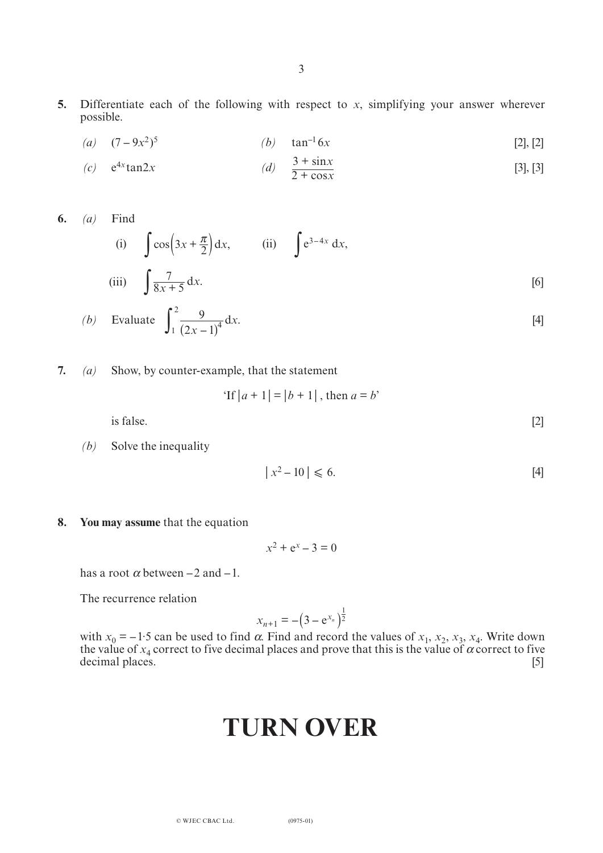- **5.** Differentiate each of the following with respect to *x*, simplifying your answer wherever possible.
	- $(a)$   $(7-9x^2)^5$ (*b*)  $\tan^{-1} 6x$  [2], [2]

(c) 
$$
e^{4x}\tan 2x
$$
 (d)  $\frac{3 + \sin x}{2 + \cos x}$  [3], [3]

**6.** *(a)* Find

(i) 
$$
\int \cos\left(3x + \frac{\pi}{2}\right) dx,
$$
 (ii) 
$$
\int e^{3-4x} dx,
$$
 (iii) 
$$
\int \frac{7}{8x+5} dx.
$$
 [6]

(b) Evaluate 
$$
\int_{1}^{2} \frac{9}{(2x-1)^4} dx
$$
. [4]

**7.** *(a)* Show, by counter-example, that the statement

'If 
$$
|a + 1| = |b + 1|
$$
, then  $a = b$ '

 $i$ s false.  $[2]$ 

*(b)* Solve the inequality

$$
|x^2 - 10| \leqslant 6. \tag{4}
$$

**8. You may assume** that the equation

$$
x^2 + e^x - 3 = 0
$$

has a root  $\alpha$  between  $-2$  and  $-1$ .

The recurrence relation

$$
x_{n+1} = -(3 - e^{x_n})^{\frac{1}{2}}
$$

with  $x_0 = -1.5$  can be used to find  $\alpha$ . Find and record the values of  $x_1$ ,  $x_2$ ,  $x_3$ ,  $x_4$ . Write down the value of  $x_4$  correct to five decimal places and prove that this is the value of  $\alpha$  correct to five decimal places. [5]

# **TURN OVER**